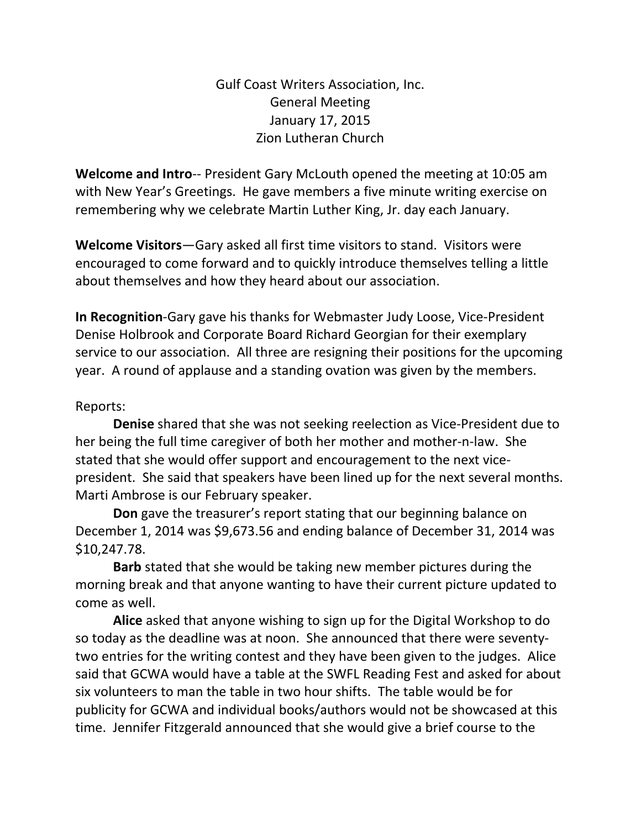Gulf Coast Writers Association, Inc. General Meeting January 17, 2015 Zion Lutheran Church

**Welcome and Intro**‐‐ President Gary McLouth opened the meeting at 10:05 am with New Year's Greetings. He gave members a five minute writing exercise on remembering why we celebrate Martin Luther King, Jr. day each January.

**Welcome Visitors**—Gary asked all first time visitors to stand. Visitors were encouraged to come forward and to quickly introduce themselves telling a little about themselves and how they heard about our association.

**In Recognition**‐Gary gave his thanks for Webmaster Judy Loose, Vice‐President Denise Holbrook and Corporate Board Richard Georgian for their exemplary service to our association. All three are resigning their positions for the upcoming year. A round of applause and a standing ovation was given by the members.

## Reports:

**Denise** shared that she was not seeking reelection as Vice‐President due to her being the full time caregiver of both her mother and mother‐n‐law. She stated that she would offer support and encouragement to the next vice‐ president. She said that speakers have been lined up for the next several months. Marti Ambrose is our February speaker.

**Don** gave the treasurer's report stating that our beginning balance on December 1, 2014 was \$9,673.56 and ending balance of December 31, 2014 was \$10,247.78.

**Barb** stated that she would be taking new member pictures during the morning break and that anyone wanting to have their current picture updated to come as well.

**Alice** asked that anyone wishing to sign up for the Digital Workshop to do so today as the deadline was at noon. She announced that there were seventy‐ two entries for the writing contest and they have been given to the judges. Alice said that GCWA would have a table at the SWFL Reading Fest and asked for about six volunteers to man the table in two hour shifts. The table would be for publicity for GCWA and individual books/authors would not be showcased at this time. Jennifer Fitzgerald announced that she would give a brief course to the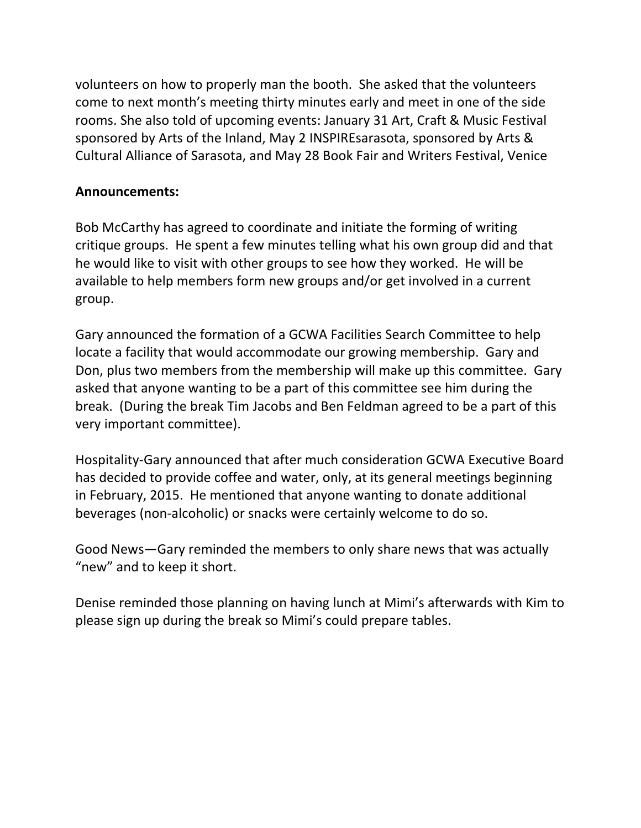volunteers on how to properly man the booth. She asked that the volunteers come to next month's meeting thirty minutes early and meet in one of the side rooms. She also told of upcoming events: January 31 Art, Craft & Music Festival sponsored by Arts of the Inland, May 2 INSPIREsarasota, sponsored by Arts & Cultural Alliance of Sarasota, and May 28 Book Fair and Writers Festival, Venice

## **Announcements:**

Bob McCarthy has agreed to coordinate and initiate the forming of writing critique groups. He spent a few minutes telling what his own group did and that he would like to visit with other groups to see how they worked. He will be available to help members form new groups and/or get involved in a current group.

Gary announced the formation of a GCWA Facilities Search Committee to help locate a facility that would accommodate our growing membership. Gary and Don, plus two members from the membership will make up this committee. Gary asked that anyone wanting to be a part of this committee see him during the break. (During the break Tim Jacobs and Ben Feldman agreed to be a part of this very important committee).

Hospitality‐Gary announced that after much consideration GCWA Executive Board has decided to provide coffee and water, only, at its general meetings beginning in February, 2015. He mentioned that anyone wanting to donate additional beverages (non‐alcoholic) or snacks were certainly welcome to do so.

Good News—Gary reminded the members to only share news that was actually "new" and to keep it short.

Denise reminded those planning on having lunch at Mimi's afterwards with Kim to please sign up during the break so Mimi's could prepare tables.